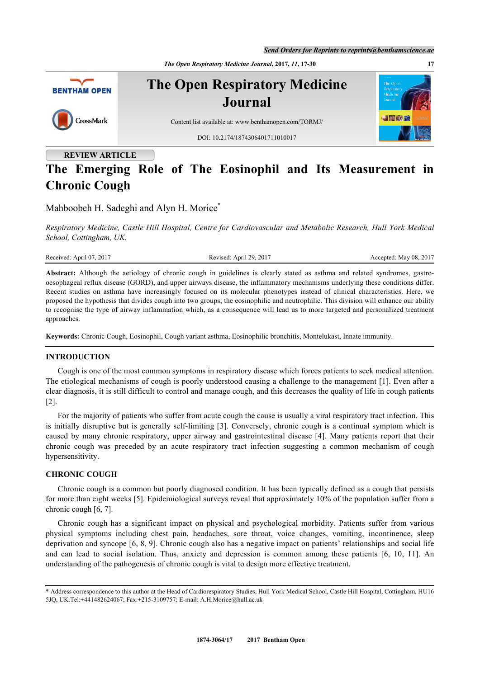*Send Orders for Reprints to reprints@benthamscience.ae*

*The Open Respiratory Medicine Journal***, 2017,** *11***, 17-30 17**



**REVIEW ARTICLE**

# **The Emerging Role of The Eosinophil and Its Measurement in Chronic Cough**

Mahboobeh H. Sadeghi and Alyn H. Morice<sup>\*</sup>

*Respiratory Medicine, Castle Hill Hospital, Centre for Cardiovascular and Metabolic Research, Hull York Medical School, Cottingham, UK.*

Received: April 07, 2017 Revised: April 29, 2017 Accepted: May 08, 2017

**Abstract:** Although the aetiology of chronic cough in guidelines is clearly stated as asthma and related syndromes, gastrooesophageal reflux disease (GORD), and upper airways disease, the inflammatory mechanisms underlying these conditions differ. Recent studies on asthma have increasingly focused on its molecular phenotypes instead of clinical characteristics. Here, we proposed the hypothesis that divides cough into two groups; the eosinophilic and neutrophilic. This division will enhance our ability to recognise the type of airway inflammation which, as a consequence will lead us to more targeted and personalized treatment approaches.

**Keywords:** Chronic Cough, Eosinophil, Cough variant asthma, Eosinophilic bronchitis, Montelukast, Innate immunity.

## **INTRODUCTION**

Cough is one of the most common symptoms in respiratory disease which forces patients to seek medical attention. The etiological mechanisms of cough is poorly understood causing a challenge to the management [[1\]](#page-9-0). Even after a clear diagnosis, it is still difficult to control and manage cough, and this decreases the quality of life in cough patients [\[2](#page-9-1)].

For the majority of patients who suffer from acute cough the cause is usually a viral respiratory tract infection. This is initially disruptive but is generally self-limiting [[3\]](#page-9-2). Conversely, chronic cough is a continual symptom which is caused by many chronic respiratory, upper airway and gastrointestinal disease [\[4](#page-9-3)]. Many patients report that their chronic cough was preceded by an acute respiratory tract infection suggesting a common mechanism of cough hypersensitivity.

# **CHRONIC COUGH**

Chronic cough is a common but poorly diagnosed condition. It has been typically defined as a cough that persists for more than eight weeks [[5](#page-9-4)]. Epidemiological surveys reveal that approximately 10% of the population suffer from a chronic cough [\[6](#page-9-5), [7](#page-9-6)].

Chronic cough has a significant impact on physical and psychological morbidity. Patients suffer from various physical symptoms including chest pain, headaches, sore throat, voice changes, vomiting, incontinence, sleep deprivation and syncope [[6,](#page-9-5) [8](#page-9-7), [9\]](#page-9-8). Chronic cough also has a negative impact on patients' relationships and social life and can lead to social isolation. Thus, anxiety and depression is common among these patients [\[6,](#page-9-5) [10,](#page-9-9) [11\]](#page-9-10). An understanding of the pathogenesis of chronic cough is vital to design more effective treatment.

<sup>\*</sup> Address correspondence to this author at the Head of Cardiorespiratory Studies, Hull York Medical School, Castle Hill Hospital, Cottingham, HU16 5JQ, UK.Tel:+441482624067; Fax:+215-3109757; E-mail: [A.H.Morice@hull.ac.uk](mailto:A.H.Morice@hull.ac.uk)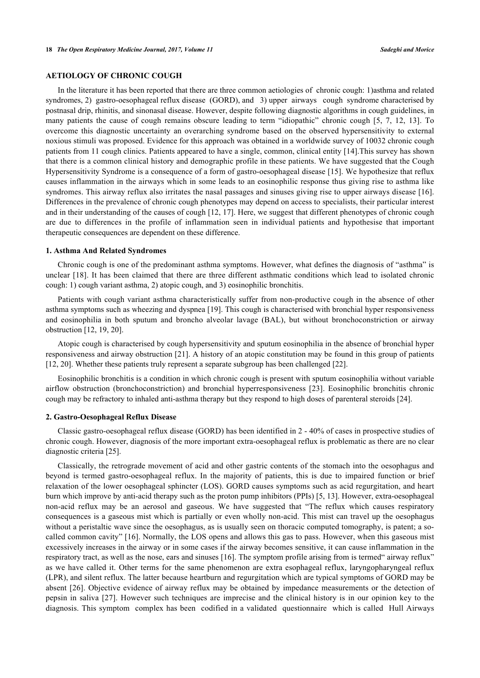## **AETIOLOGY OF CHRONIC COUGH**

In the literature it has been reported that there are three common aetiologies of chronic cough: 1)asthma and related syndromes, 2) gastro-oesophageal reflux disease (GORD), and 3) upper airways cough syndrome characterised by postnasal drip, rhinitis, and sinonasal disease. However, despite following diagnostic algorithms in cough guidelines, in many patients the cause of cough remains obscure leading to term "idiopathic" chronic cough[[5,](#page-9-4) [7,](#page-9-6) [12](#page-9-11), [13](#page-9-12)]. To overcome this diagnostic uncertainty an overarching syndrome based on the observed hypersensitivity to external noxious stimuli was proposed. Evidence for this approach was obtained in a worldwide survey of 10032 chronic cough patients from 11 cough clinics. Patients appeared to have a single, common, clinical entity [[14\]](#page-9-13).This survey has shown that there is a common clinical history and demographic profile in these patients. We have suggested that the Cough Hypersensitivity Syndrome is a consequence of a form of gastro-oesophageal disease [[15](#page-9-14)]. We hypothesize that reflux causes inflammation in the airways which in some leads to an eosinophilic response thus giving rise to asthma like syndromes. This airway reflux also irritates the nasal passages and sinuses giving rise to upper airways disease [\[16\]](#page-9-15). Differences in the prevalence of chronic cough phenotypes may depend on access to specialists, their particular interest and in their understanding of the causes of cough [\[12](#page-9-11), [17\]](#page-9-16). Here, we suggest that different phenotypes of chronic cough are due to differences in the profile of inflammation seen in individual patients and hypothesise that important therapeutic consequences are dependent on these difference.

#### **1. Asthma And Related Syndromes**

Chronic cough is one of the predominant asthma symptoms. However, what defines the diagnosis of "asthma" is unclear [[18](#page-9-17)]. It has been claimed that there are three different asthmatic conditions which lead to isolated chronic cough: 1) cough variant asthma, 2) atopic cough, and 3) eosinophilic bronchitis.

Patients with cough variant asthma characteristically suffer from non-productive cough in the absence of other asthma symptoms such as wheezing and dyspnea [[19\]](#page-9-18). This cough is characterised with bronchial hyper responsiveness and eosinophilia in both sputum and broncho alveolar lavage (BAL), but without bronchoconstriction or airway obstruction [[12,](#page-9-11) [19,](#page-9-18) [20\]](#page-9-19).

Atopic cough is characterised by cough hypersensitivity and sputum eosinophilia in the absence of bronchial hyper responsiveness and airway obstruction [\[21](#page-9-20)]. A history of an atopic constitution may be found in this group of patients [\[12](#page-9-11), [20](#page-9-19)]. Whether these patients truly represent a separate subgroup has been challenged [[22\]](#page-9-21).

Eosinophilic bronchitis is a condition in which chronic cough is present with sputum eosinophilia without variable airflow obstruction (bronchoconstriction) and bronchial hyperresponsiveness[[23](#page-9-22)]. Eosinophilic bronchitis chronic cough may be refractory to inhaled anti-asthma therapy but they respond to high doses of parenteral steroids [[24\]](#page-10-0).

#### **2. Gastro-Oesophageal Reflux Disease**

Classic gastro-oesophageal reflux disease (GORD) has been identified in 2 - 40% of cases in prospective studies of chronic cough. However, diagnosis of the more important extra-oesophageal reflux is problematic as there are no clear diagnostic criteria [\[25](#page-10-1)].

Classically, the retrograde movement of acid and other gastric contents of the stomach into the oesophagus and beyond is termed gastro-oesophageal reflux. In the majority of patients, this is due to impaired function or brief relaxation of the lower oesophageal sphincter (LOS). GORD causes symptoms such as acid regurgitation, and heart burn which improve by anti-acid therapy such as the proton pump inhibitors (PPIs) [[5,](#page-9-4) [13\]](#page-9-12). However, extra-oesophageal non-acid reflux may be an aerosol and gaseous. We have suggested that "The reflux which causes respiratory consequences is a gaseous mist which is partially or even wholly non-acid. This mist can travel up the oesophagus without a peristaltic wave since the oesophagus, as is usually seen on thoracic computed tomography, is patent; a socalled common cavity" [\[16](#page-9-15)]. Normally, the LOS opens and allows this gas to pass. However, when this gaseous mist excessively increases in the airway or in some cases if the airway becomes sensitive, it can cause inflammation in the respiratory tract, as well as the nose, ears and sinuses [\[16](#page-9-15)]. The symptom profile arising from is termed" airway reflux" as we have called it. Other terms for the same phenomenon are extra esophageal reflux, laryngopharyngeal reflux (LPR), and silent reflux. The latter because heartburn and regurgitation which are typical symptoms of GORD may be absent [[26](#page-10-2)]. Objective evidence of airway reflux may be obtained by impedance measurements or the detection of pepsin in saliva [[27](#page-10-3)]. However such techniques are imprecise and the clinical history is in our opinion key to the diagnosis. This symptom complex has been codified in a validated questionnaire which is called Hull Airways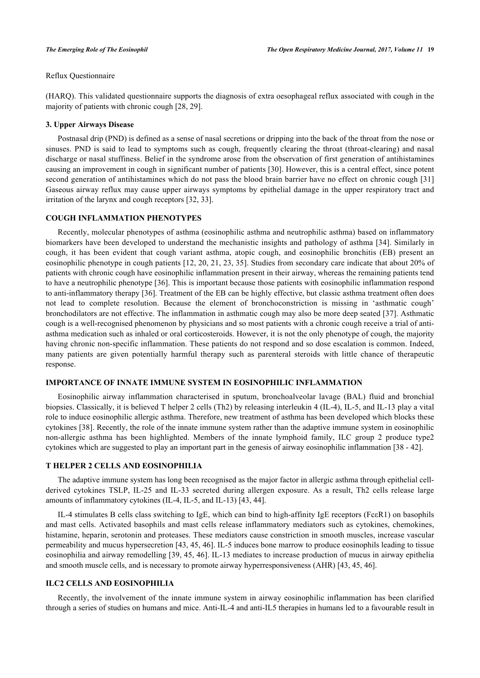Reflux Questionnaire

(HARQ). This validated questionnaire supports the diagnosis of extra oesophageal reflux associated with cough in the majority of patients with chronic cough [[28,](#page-10-4) [29\]](#page-10-5).

## **3. Upper Airways Disease**

Postnasal drip (PND) is defined as a sense of nasal secretions or dripping into the back of the throat from the nose or sinuses. PND is said to lead to symptoms such as cough, frequently clearing the throat (throat-clearing) and nasal discharge or nasal stuffiness. Belief in the syndrome arose from the observation of first generation of antihistamines causing an improvement in cough in significant number of patients [[30](#page-10-6)]. However, this is a central effect, since potent second generation of antihistamines which do not pass the blood brain barrier have no effect on chronic cough [[31](#page-10-7)] Gaseous airway reflux may cause upper airways symptoms by epithelial damage in the upper respiratory tract and irritation of the larynx and cough receptors [\[32](#page-10-8), [33](#page-10-9)].

## **COUGH INFLAMMATION PHENOTYPES**

Recently, molecular phenotypes of asthma (eosinophilic asthma and neutrophilic asthma) based on inflammatory biomarkers have been developed to understand the mechanistic insights and pathology of asthma [[34\]](#page-10-10). Similarly in cough, it has been evident that cough variant asthma, atopic cough, and eosinophilic bronchitis (EB) present an eosinophilic phenotype in cough patients [[12,](#page-9-11) [20](#page-9-19), [21,](#page-9-20) [23](#page-9-22), [35\]](#page-10-11). Studies from secondary care indicate that about 20% of patients with chronic cough have eosinophilic inflammation present in their airway, whereas the remaining patients tend to have a neutrophilic phenotype [[36](#page-10-12)]. This is important because those patients with eosinophilic inflammation respond to anti-inflammatory therapy [\[36](#page-10-12)]. Treatment of the EB can be highly effective, but classic asthma treatment often does not lead to complete resolution. Because the element of bronchoconstriction is missing in 'asthmatic cough' bronchodilators are not effective. The inflammation in asthmatic cough may also be more deep seated [\[37](#page-10-13)]. Asthmatic cough is a well-recognised phenomenon by physicians and so most patients with a chronic cough receive a trial of antiasthma medication such as inhaled or oral corticosteroids. However, it is not the only phenotype of cough, the majority having chronic non-specific inflammation. These patients do not respond and so dose escalation is common. Indeed, many patients are given potentially harmful therapy such as parenteral steroids with little chance of therapeutic response.

## **IMPORTANCE OF INNATE IMMUNE SYSTEM IN EOSINOPHILIC INFLAMMATION**

Eosinophilic airway inflammation characterised in sputum, bronchoalveolar lavage (BAL) fluid and bronchial biopsies. Classically, it is believed T helper 2 cells (Th2) by releasing interleukin 4 (IL-4), IL-5, and IL-13 play a vital role to induce eosinophilic allergic asthma. Therefore, new treatment of asthma has been developed which blocks these cytokines [\[38](#page-10-14)]. Recently, the role of the innate immune system rather than the adaptive immune system in eosinophilic non-allergic asthma has been highlighted. Members of the innate lymphoid family, ILC group 2 produce type2 cytokines which are suggested to play an important part in the genesis of airway eosinophilic inflammation [\[38](#page-10-14) - [42](#page-10-15)].

# **T HELPER 2 CELLS AND EOSINOPHILIA**

The adaptive immune system has long been recognised as the major factor in allergic asthma through epithelial cellderived cytokines TSLP, IL-25 and IL-33 secreted during allergen exposure. As a result, Th2 cells release large amounts of inflammatory cytokines (IL-4, IL-5, and IL-13) [\[43](#page-10-16), [44](#page-10-17)].

IL-4 stimulates B cells class switching to IgE, which can bind to high-affinity IgE receptors (FcεR1) on basophils and mast cells. Activated basophils and mast cells release inflammatory mediators such as cytokines, chemokines, histamine, heparin, serotonin and proteases. These mediators cause constriction in smooth muscles, increase vascular permeability and mucus hypersecretion [[43](#page-10-16), [45](#page-10-18), [46](#page-11-0)]. IL-5 induces bone marrow to produce eosinophils leading to tissue eosinophilia and airway remodelling [[39,](#page-10-19) [45](#page-10-18), [46\]](#page-11-0). IL-13 mediates to increase production of mucus in airway epithelia and smooth muscle cells, and is necessary to promote airway hyperresponsiveness (AHR) [[43,](#page-10-16) [45,](#page-10-18) [46\]](#page-11-0).

#### **ILC2 CELLS AND EOSINOPHILIA**

Recently, the involvement of the innate immune system in airway eosinophilic inflammation has been clarified through a series of studies on humans and mice. Anti-IL-4 and anti-IL5 therapies in humans led to a favourable result in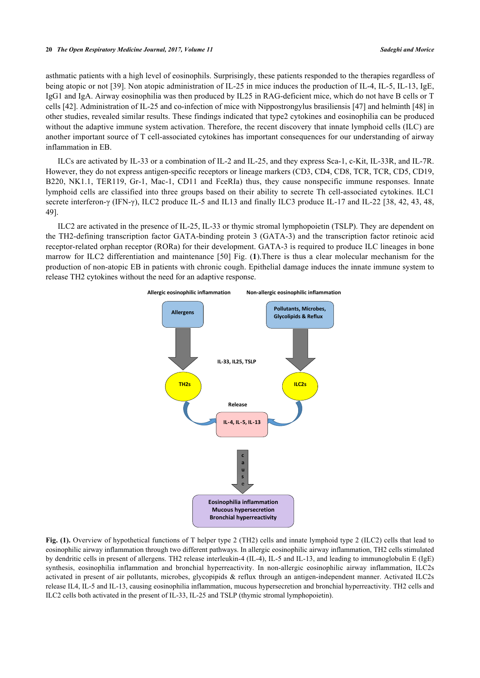asthmatic patients with a high level of eosinophils. Surprisingly, these patients responded to the therapies regardless of being atopic or not [\[39](#page-10-19)]. Non atopic administration of IL-25 in mice induces the production of IL-4, IL-5, IL-13, IgE, IgG1 and IgA. Airway eosinophilia was then produced by IL25 in RAG-deficient mice, which do not have B cells or T cells [[42\]](#page-10-15). Administration of IL-25 and co-infection of mice with Nippostrongylus brasiliensis [\[47](#page-11-1)] and helminth [[48\]](#page-11-2) in other studies, revealed similar results. These findings indicated that type2 cytokines and eosinophilia can be produced without the adaptive immune system activation. Therefore, the recent discovery that innate lymphoid cells (ILC) are another important source of T cell-associated cytokines has important consequences for our understanding of airway inflammation in EB.

ILCs are activated by IL-33 or a combination of IL-2 and IL-25, and they express Sca-1, c-Kit, IL-33R, and IL-7R. However, they do not express antigen-specific receptors or lineage markers (CD3, CD4, CD8, TCR, TCR, CD5, CD19, B220, NK1.1, TER119, Gr-1, Mac-1, CD11 and FceRIa) thus, they cause nonspecific immune responses. Innate lymphoid cells are classified into three groups based on their ability to secrete Th cell-associated cytokines. ILC1 secrete interferon-γ (IFN-γ), ILC2 produce IL-5 and IL13 and finally ILC3 produce IL-17 and IL-22 [[38,](#page-10-14) [42,](#page-10-15) [43](#page-10-16), [48](#page-11-2), [49\]](#page-11-3).

<span id="page-3-0"></span>ILC2 are activated in the presence of IL-25, IL-33 or thymic stromal lymphopoietin (TSLP). They are dependent on the TH2-defining transcription factor GATA-binding protein 3 (GATA-3) and the transcription factor retinoic acid receptor-related orphan receptor (RORa) for their development. GATA-3 is required to produce ILC lineages in bone marrow for ILC2 differentiation and maintenance [[50](#page-11-4)] Fig. (**[1](#page-3-0)**).There is thus a clear molecular mechanism for the production of non-atopic EB in patients with chronic cough. Epithelial damage induces the innate immune system to release TH2 cytokines without the need for an adaptive response.



Fig. (1). Overview of hypothetical functions of T helper type 2 (TH2) cells and innate lymphoid type 2 (ILC2) cells that lead to eosinophilic airway inflammation through two different pathways. In allergic eosinophilic airway inflammation, TH2 cells stimulated by dendritic cells in present of allergens. TH2 release interleukin-4 (IL-4), IL-5 and IL-13, and leading to immunoglobulin E (IgE) synthesis, eosinophilia inflammation and bronchial hyperreactivity. In non-allergic eosinophilic airway inflammation, ILC2s activated in present of air pollutants, microbes, glycopipids & reflux through an antigen-independent manner. Activated ILC2s release IL4, IL-5 and IL-13, causing eosinophilia inflammation, mucous hypersecretion and bronchial hyperreactivity. TH2 cells and ILC2 cells both activated in the present of IL-33, IL-25 and TSLP (thymic stromal lymphopoietin).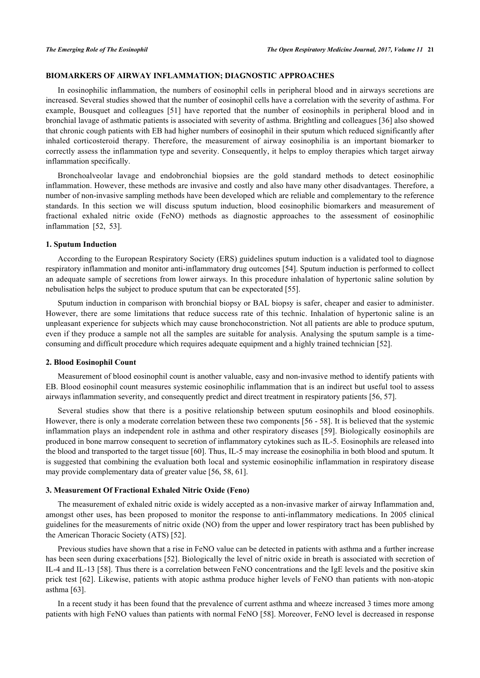## **BIOMARKERS OF AIRWAY INFLAMMATION; DIAGNOSTIC APPROACHES**

In eosinophilic inflammation, the numbers of eosinophil cells in peripheral blood and in airways secretions are increased. Several studies showed that the number of eosinophil cells have a correlation with the severity of asthma. For example, Bousquet and colleagues[[51](#page-11-5)] have reported that the number of eosinophils in peripheral blood and in bronchial lavage of asthmatic patients is associated with severity of asthma. Brightling and colleagues [\[36](#page-10-12)] also showed that chronic cough patients with EB had higher numbers of eosinophil in their sputum which reduced significantly after inhaled corticosteroid therapy. Therefore, the measurement of airway eosinophilia is an important biomarker to correctly assess the inflammation type and severity. Consequently, it helps to employ therapies which target airway inflammation specifically.

Bronchoalveolar lavage and endobronchial biopsies are the gold standard methods to detect eosinophilic inflammation. However, these methods are invasive and costly and also have many other disadvantages. Therefore, a number of non-invasive sampling methods have been developed which are reliable and complementary to the reference standards. In this section we will discuss sputum induction, blood eosinophilic biomarkers and measurement of fractional exhaled nitric oxide (FeNO) methods as diagnostic approaches to the assessment of eosinophilic inflammation [\[52](#page-11-6), [53](#page-11-7)].

## **1. Sputum Induction**

According to the European Respiratory Society (ERS) guidelines sputum induction is a validated tool to diagnose respiratory inflammation and monitor anti-inflammatory drug outcomes [[54\]](#page-11-8). Sputum induction is performed to collect an adequate sample of secretions from lower airways. In this procedure inhalation of hypertonic saline solution by nebulisation helps the subject to produce sputum that can be expectorated [[55\]](#page-11-9).

Sputum induction in comparison with bronchial biopsy or BAL biopsy is safer, cheaper and easier to administer. However, there are some limitations that reduce success rate of this technic. Inhalation of hypertonic saline is an unpleasant experience for subjects which may cause bronchoconstriction. Not all patients are able to produce sputum, even if they produce a sample not all the samples are suitable for analysis. Analysing the sputum sample is a timeconsuming and difficult procedure which requires adequate equipment and a highly trained technician [[52\]](#page-11-6).

#### **2. Blood Eosinophil Count**

Measurement of blood eosinophil count is another valuable, easy and non-invasive method to identify patients with EB. Blood eosinophil count measures systemic eosinophilic inflammation that is an indirect but useful tool to assess airways inflammation severity, and consequently predict and direct treatment in respiratory patients [\[56](#page-11-10), [57](#page-11-11)].

Several studies show that there is a positive relationship between sputum eosinophils and blood eosinophils. However, there is only a moderate correlation between these two components [[56](#page-11-10) - [58\]](#page-11-12). It is believed that the systemic inflammation plays an independent role in asthma and other respiratory diseases [[59](#page-11-13)]. Biologically eosinophils are produced in bone marrow consequent to secretion of inflammatory cytokines such as IL-5. Eosinophils are released into the blood and transported to the target tissue [\[60](#page-11-14)]. Thus, IL-5 may increase the eosinophilia in both blood and sputum. It is suggested that combining the evaluation both local and systemic eosinophilic inflammation in respiratory disease may provide complementary data of greater value [[56,](#page-11-10) [58,](#page-11-12) [61\]](#page-11-15).

#### **3. Measurement Of Fractional Exhaled Nitric Oxide (Feno)**

The measurement of exhaled nitric oxide is widely accepted as a non-invasive marker of airway Inflammation and, amongst other uses, has been proposed to monitor the response to anti-inflammatory medications. In 2005 clinical guidelines for the measurements of nitric oxide (NO) from the upper and lower respiratory tract has been published by the American Thoracic Society (ATS) [\[52](#page-11-6)].

Previous studies have shown that a rise in FeNO value can be detected in patients with asthma and a further increase has been seen during exacerbations [[52\]](#page-11-6). Biologically the level of nitric oxide in breath is associated with secretion of IL-4 and IL-13 [[58](#page-11-12)]. Thus there is a correlation between FeNO concentrations and the IgE levels and the positive skin prick test [\[62\]](#page-11-16). Likewise, patients with atopic asthma produce higher levels of FeNO than patients with non-atopic asthma [[63\]](#page-11-17).

In a recent study it has been found that the prevalence of current asthma and wheeze increased 3 times more among patients with high FeNO values than patients with normal FeNO [\[58](#page-11-12)]. Moreover, FeNO level is decreased in response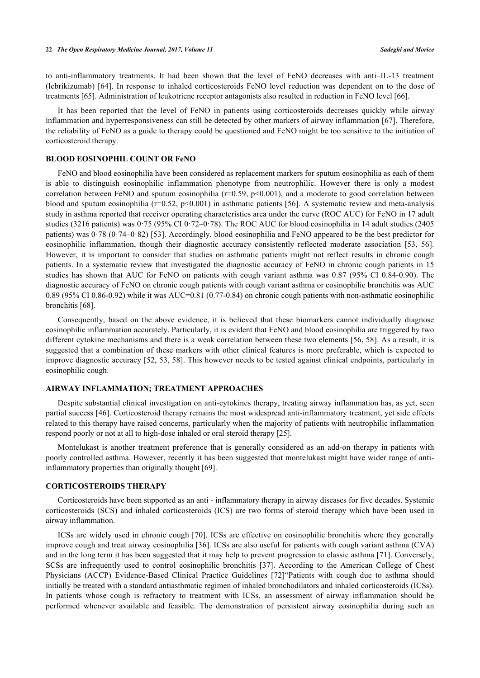to anti-inflammatory treatments. It had been shown that the level of FeNO decreases with anti–IL-13 treatment (lebrikizumab) [[64\]](#page-11-18). In response to inhaled corticosteroids FeNO level reduction was dependent on to the dose of treatments [\[65](#page-11-19)]. Administration of leukotriene receptor antagonists also resulted in reduction in FeNO level [\[66](#page-11-20)].

It has been reported that the level of FeNO in patients using corticosteroids decreases quickly while airway inflammation and hyperresponsiveness can still be detected by other markers of airway inflammation [\[67](#page-12-0)]. Therefore, the reliability of FeNO as a guide to therapy could be questioned and FeNO might be too sensitive to the initiation of corticosteroid therapy.

## **BLOOD EOSINOPHIL COUNT OR FeNO**

FeNO and blood eosinophilia have been considered as replacement markers for sputum eosinophilia as each of them is able to distinguish eosinophilic inflammation phenotype from neutrophilic. However there is only a modest correlation between FeNO and sputum eosinophilia ( $r=0.59$ ,  $p<0.001$ ), and a moderate to good correlation between blood and sputum eosinophilia ( $r=0.52$ ,  $p<0.001$ ) in asthmatic patients [[56](#page-11-10)]. A systematic review and meta-analysis study in asthma reported that receiver operating characteristics area under the curve (ROC AUC) for FeNO in 17 adult studies (3216 patients) was 0·75 (95% CI 0·72–0·78). The ROC AUC for blood eosinophilia in 14 adult studies (2405 patients) was 0·78 (0·74–0·82) [\[53\]](#page-11-7). Accordingly, blood eosinophilia and FeNO appeared to be the best predictor for eosinophilic inflammation, though their diagnostic accuracy consistently reflected moderate association [\[53,](#page-11-7) [56\]](#page-11-10). However, it is important to consider that studies on asthmatic patients might not reflect results in chronic cough patients. In a systematic review that investigated the diagnostic accuracy of FeNO in chronic cough patients in 15 studies has shown that AUC for FeNO on patients with cough variant asthma was 0.87 (95% CI 0.84-0.90). The diagnostic accuracy of FeNO on chronic cough patients with cough variant asthma or eosinophilic bronchitis was AUC 0.89 (95% CI 0.86-0.92) while it was AUC=0.81 (0.77-0.84) on chronic cough patients with non-asthmatic eosinophilic bronchitis [[68\]](#page-12-1).

Consequently, based on the above evidence, it is believed that these biomarkers cannot individually diagnose eosinophilic inflammation accurately. Particularly, it is evident that FeNO and blood eosinophilia are triggered by two different cytokine mechanisms and there is a weak correlation between these two elements [\[56](#page-11-10), [58](#page-11-12)]. As a result, it is suggested that a combination of these markers with other clinical features is more preferable, which is expected to improve diagnostic accuracy [[52](#page-11-6), [53,](#page-11-7) [58\]](#page-11-12). This however needs to be tested against clinical endpoints, particularly in eosinophilic cough.

#### **AIRWAY INFLAMMATION; TREATMENT APPROACHES**

Despite substantial clinical investigation on anti-cytokines therapy, treating airway inflammation has, as yet, seen partial success [\[46](#page-11-0)]. Corticosteroid therapy remains the most widespread anti-inflammatory treatment, yet side effects related to this therapy have raised concerns, particularly when the majority of patients with neutrophilic inflammation respond poorly or not at all to high-dose inhaled or oral steroid therapy [\[25](#page-10-1)].

Montelukast is another treatment preference that is generally considered as an add-on therapy in patients with poorly controlled asthma. However, recently it has been suggested that montelukast might have wider range of antiinflammatory properties than originally thought [[69\]](#page-12-2).

#### **CORTICOSTEROIDS THERAPY**

Corticosteroids have been supported as an anti - inflammatory therapy in airway diseases for five decades. Systemic corticosteroids (SCS) and inhaled corticosteroids (ICS) are two forms of steroid therapy which have been used in airway inflammation.

ICSs are widely used in chronic cough [[70\]](#page-12-3). ICSs are effective on eosinophilic bronchitis where they generally improve cough and treat airway eosinophilia [[36](#page-10-12)]. ICSs are also useful for patients with cough variant asthma (CVA) and in the long term it has been suggested that it may help to prevent progression to classic asthma [[71\]](#page-12-4). Conversely, SCSs are infrequently used to control eosinophilic bronchitis [\[37\]](#page-10-13). According to the American College of Chest Physicians (ACCP) Evidence-Based Clinical Practice Guidelines[[72\]](#page-12-5)"Patients with cough due to asthma should initially be treated with a standard antiasthmatic regimen of inhaled bronchodilators and inhaled corticosteroids (ICSs). In patients whose cough is refractory to treatment with ICSs, an assessment of airway inflammation should be performed whenever available and feasible. The demonstration of persistent airway eosinophilia during such an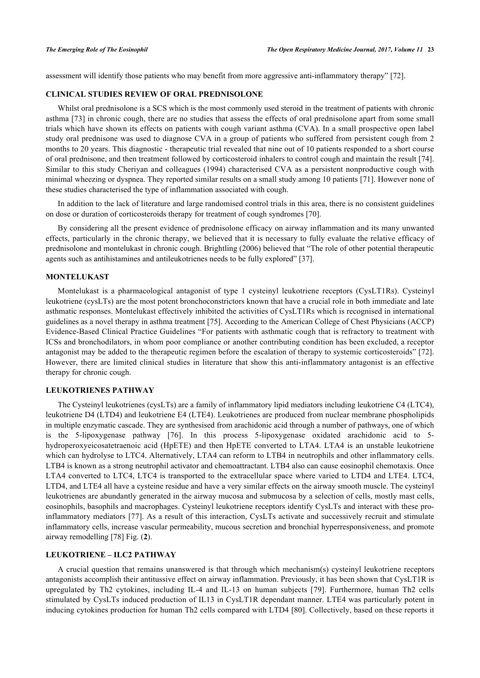assessment will identify those patients who may benefit from more aggressive anti-inflammatory therapy" [\[72](#page-12-5)].

## **CLINICAL STUDIES REVIEW OF ORAL PREDNISOLONE**

Whilst oral prednisolone is a SCS which is the most commonly used steroid in the treatment of patients with chronic asthma [[73](#page-12-6)] in chronic cough, there are no studies that assess the effects of oral prednisolone apart from some small trials which have shown its effects on patients with cough variant asthma (CVA). In a small prospective open label study oral prednisone was used to diagnose CVA in a group of patients who suffered from persistent cough from 2 months to 20 years. This diagnostic - therapeutic trial revealed that nine out of 10 patients responded to a short course of oral prednisone, and then treatment followed by corticosteroid inhalers to control cough and maintain the result [[74\]](#page-12-7). Similar to this study Cheriyan and colleagues (1994) characterised CVA as a persistent nonproductive cough with minimal wheezing or dyspnea. They reported similar results on a small study among 10 patients [[71](#page-12-4)]. However none of these studies characterised the type of inflammation associated with cough.

In addition to the lack of literature and large randomised control trials in this area, there is no consistent guidelines on dose or duration of corticosteroids therapy for treatment of cough syndromes [[70\]](#page-12-3).

By considering all the present evidence of prednisolone efficacy on airway inflammation and its many unwanted effects, particularly in the chronic therapy, we believed that it is necessary to fully evaluate the relative efficacy of prednisolone and montelukast in chronic cough. Brightling (2006) believed that "The role of other potential therapeutic agents such as antihistamines and antileukotrienes needs to be fully explored" [\[37](#page-10-13)].

## **MONTELUKAST**

Montelukast is a pharmacological antagonist of type 1 cysteinyl leukotriene receptors (CysLT1Rs). Cysteinyl leukotriene (cysLTs) are the most potent bronchoconstrictors known that have a crucial role in both immediate and late asthmatic responses. Montelukast effectively inhibited the activities of CysLT1Rs which is recognised in international guidelines as a novel therapy in asthma treatment [\[75](#page-12-8)]. According to the American College of Chest Physicians (ACCP) Evidence-Based Clinical Practice Guidelines "For patients with asthmatic cough that is refractory to treatment with ICSs and bronchodilators, in whom poor compliance or another contributing condition has been excluded, a receptor antagonist may be added to the therapeutic regimen before the escalation of therapy to systemic corticosteroids" [[72\]](#page-12-5). However, there are limited clinical studies in literature that show this anti-inflammatory antagonist is an effective therapy for chronic cough.

#### **LEUKOTRIENES PATHWAY**

The Cysteinyl leukotrienes (cysLTs) are a family of inflammatory lipid mediators including leukotriene C4 (LTC4), leukotriene D4 (LTD4) and leukotriene E4 (LTE4). Leukotrienes are produced from nuclear membrane phospholipids in multiple enzymatic cascade. They are synthesised from arachidonic acid through a number of pathways, one of which is the 5-lipoxygenase pathway [\[76](#page-12-9)]. In this process 5-lipoxygenase oxidated arachidonic acid to 5 hydroperoxyeicosatetraenoic acid (HpETE) and then HpETE converted to LTA4. LTA4 is an unstable leukotriene which can hydrolyse to LTC4. Alternatively, LTA4 can reform to LTB4 in neutrophils and other inflammatory cells. LTB4 is known as a strong neutrophil activator and chemoattractant. LTB4 also can cause eosinophil chemotaxis. Once LTA4 converted to LTC4, LTC4 is transported to the extracellular space where varied to LTD4 and LTE4. LTC4, LTD4, and LTE4 all have a cysteine residue and have a very similar effects on the airway smooth muscle. The cysteinyl leukotrienes are abundantly generated in the airway mucosa and submucosa by a selection of cells, mostly mast cells, eosinophils, basophils and macrophages. Cysteinyl leukotriene receptors identify CysLTs and interact with these proinflammatory mediators [[77\]](#page-12-10). As a result of this interaction, CysLTs activate and successively recruit and stimulate inflammatory cells, increase vascular permeability, mucous secretion and bronchial hyperresponsiveness, and promote airway remodelling [[78\]](#page-12-11) Fig. (**[2](#page-7-0)**).

## **LEUKOTRIENE – ILC2 PATHWAY**

A crucial question that remains unanswered is that through which mechanism(s) cysteinyl leukotriene receptors antagonists accomplish their antitussive effect on airway inflammation. Previously, it has been shown that CysLT1R is upregulated by Th2 cytokines, including IL-4 and IL-13 on human subjects[[79](#page-12-12)]. Furthermore, human Th2 cells stimulated by CysLTs induced production of IL13 in CysLT1R dependant manner. LTE4 was particularly potent in inducing cytokines production for human Th2 cells compared with LTD4 [[80\]](#page-12-13). Collectively, based on these reports it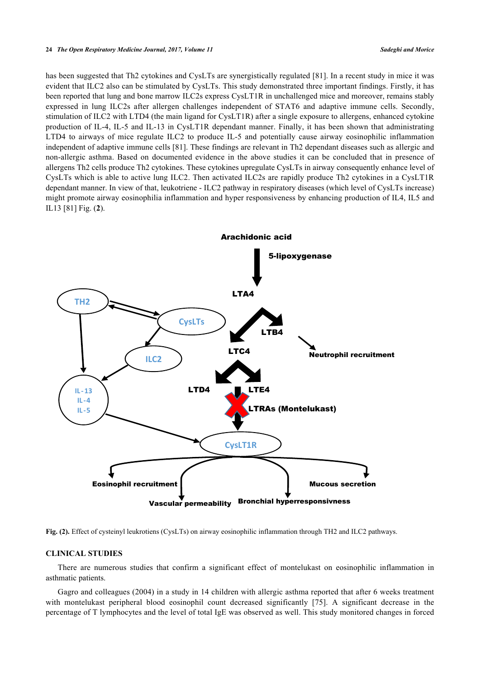#### **24** *The Open Respiratory Medicine Journal, 2017, Volume 11 Sadeghi and Morice*

has been suggested that Th2 cytokines and CysLTs are synergistically regulated [[81](#page-12-14)]. In a recent study in mice it was evident that ILC2 also can be stimulated by CysLTs. This study demonstrated three important findings. Firstly, it has been reported that lung and bone marrow ILC2s express CysLT1R in unchallenged mice and moreover, remains stably expressed in lung ILC2s after allergen challenges independent of STAT6 and adaptive immune cells. Secondly, stimulation of ILC2 with LTD4 (the main ligand for CysLT1R) after a single exposure to allergens, enhanced cytokine production of IL-4, IL-5 and IL-13 in CysLT1R dependant manner. Finally, it has been shown that administrating LTD4 to airways of mice regulate ILC2 to produce IL-5 and potentially cause airway eosinophilic inflammation independent of adaptive immune cells [\[81](#page-12-14)]. These findings are relevant in Th2 dependant diseases such as allergic and non-allergic asthma. Based on documented evidence in the above studies it can be concluded that in presence of allergens Th2 cells produce Th2 cytokines. These cytokines upregulate CysLTs in airway consequently enhance level of CysLTs which is able to active lung ILC2. Then activated ILC2s are rapidly produce Th2 cytokines in a CysLT1R dependant manner. In view of that, leukotriene - ILC2 pathway in respiratory diseases (which level of CysLTs increase) might promote airway eosinophilia inflammation and hyper responsiveness by enhancing production of IL4, IL5 and IL13 [[81\]](#page-12-14) Fig. (**[2](#page-7-0)**).

<span id="page-7-0"></span>

**Fig. (2).** Effect of cysteinyl leukrotiens (CysLTs) on airway eosinophilic inflammation through TH2 and ILC2 pathways.

#### **CLINICAL STUDIES**

There are numerous studies that confirm a significant effect of montelukast on eosinophilic inflammation in asthmatic patients.

Gagro and colleagues (2004) in a study in 14 children with allergic asthma reported that after 6 weeks treatment with montelukast peripheral blood eosinophil count decreased significantly[[75\]](#page-12-8). A significant decrease in the percentage of T lymphocytes and the level of total IgE was observed as well. This study monitored changes in forced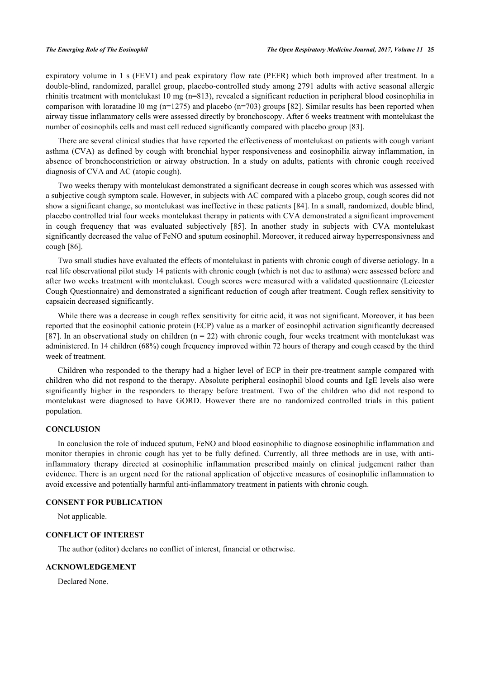expiratory volume in 1 s (FEV1) and peak expiratory flow rate (PEFR) which both improved after treatment. In a double-blind, randomized, parallel group, placebo-controlled study among 2791 adults with active seasonal allergic rhinitis treatment with montelukast 10 mg (n=813), revealed a significant reduction in peripheral blood eosinophilia in comparison with loratadine 10 mg ( $n=1275$ ) and placebo ( $n=703$ ) groups [\[82](#page-12-15)]. Similar results has been reported when airway tissue inflammatory cells were assessed directly by bronchoscopy. After 6 weeks treatment with montelukast the number of eosinophils cells and mast cell reduced significantly compared with placebo group [\[83](#page-12-16)].

There are several clinical studies that have reported the effectiveness of montelukast on patients with cough variant asthma (CVA) as defined by cough with bronchial hyper responsiveness and eosinophilia airway inflammation, in absence of bronchoconstriction or airway obstruction. In a study on adults, patients with chronic cough received diagnosis of CVA and AC (atopic cough).

Two weeks therapy with montelukast demonstrated a significant decrease in cough scores which was assessed with a subjective cough symptom scale. However, in subjects with AC compared with a placebo group, cough scores did not show a significant change, so montelukast was ineffective in these patients [[84\]](#page-12-17). In a small, randomized, double blind, placebo controlled trial four weeks montelukast therapy in patients with CVA demonstrated a significant improvement in cough frequency that was evaluated subjectively[[85\]](#page-12-18). In another study in subjects with CVA montelukast significantly decreased the value of FeNO and sputum eosinophil. Moreover, it reduced airway hyperresponsivness and cough [[86\]](#page-12-19).

Two small studies have evaluated the effects of montelukast in patients with chronic cough of diverse aetiology. In a real life observational pilot study 14 patients with chronic cough (which is not due to asthma) were assessed before and after two weeks treatment with montelukast. Cough scores were measured with a validated questionnaire (Leicester Cough Questionnaire) and demonstrated a significant reduction of cough after treatment. Cough reflex sensitivity to capsaicin decreased significantly.

While there was a decrease in cough reflex sensitivity for citric acid, it was not significant. Moreover, it has been reported that the eosinophil cationic protein (ECP) value as a marker of eosinophil activation significantly decreased [\[87](#page-13-0)]. In an observational study on children ( $n = 22$ ) with chronic cough, four weeks treatment with montelukast was administered. In 14 children (68%) cough frequency improved within 72 hours of therapy and cough ceased by the third week of treatment.

Children who responded to the therapy had a higher level of ECP in their pre-treatment sample compared with children who did not respond to the therapy. Absolute peripheral eosinophil blood counts and IgE levels also were significantly higher in the responders to therapy before treatment. Two of the children who did not respond to montelukast were diagnosed to have GORD. However there are no randomized controlled trials in this patient population.

## **CONCLUSION**

In conclusion the role of induced sputum, FeNO and blood eosinophilic to diagnose eosinophilic inflammation and monitor therapies in chronic cough has yet to be fully defined. Currently, all three methods are in use, with antiinflammatory therapy directed at eosinophilic inflammation prescribed mainly on clinical judgement rather than evidence. There is an urgent need for the rational application of objective measures of eosinophilic inflammation to avoid excessive and potentially harmful anti-inflammatory treatment in patients with chronic cough.

## **CONSENT FOR PUBLICATION**

Not applicable.

## **CONFLICT OF INTEREST**

The author (editor) declares no conflict of interest, financial or otherwise.

## **ACKNOWLEDGEMENT**

Declared None.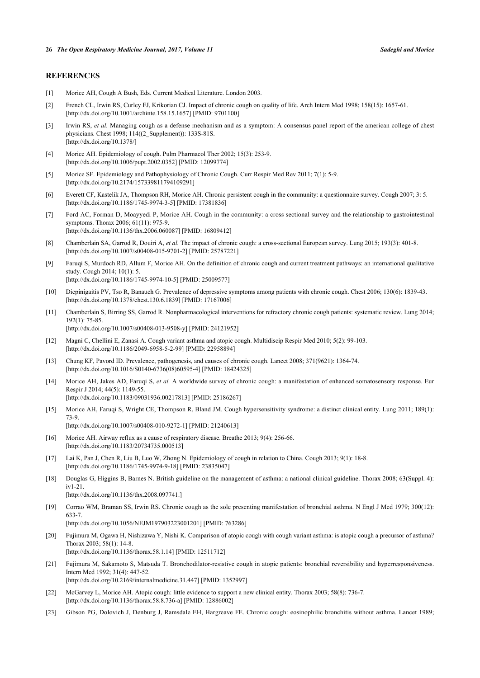## **REFERENCES**

- <span id="page-9-0"></span>[1] Morice AH, Cough A Bush, Eds. Current Medical Literature. London 2003.
- <span id="page-9-1"></span>[2] French CL, Irwin RS, Curley FJ, Krikorian CJ. Impact of chronic cough on quality of life. Arch Intern Med 1998; 158(15): 1657-61. [\[http://dx.doi.org/10.1001/archinte.158.15.1657\]](http://dx.doi.org/10.1001/archinte.158.15.1657) [PMID: [9701100](http://www.ncbi.nlm.nih.gov/pubmed/9701100)]
- <span id="page-9-2"></span>[3] Irwin RS, *et al.* Managing cough as a defense mechanism and as a symptom: A consensus panel report of the american college of chest physicians. Chest 1998; 114((2\_Supplement)): 133S-81S. [\[http://dx.doi.org/10.1378/\]](http://dx.doi.org/10.1378/)
- <span id="page-9-3"></span>[4] Morice AH. Epidemiology of cough. Pulm Pharmacol Ther 2002; 15(3): 253-9. [\[http://dx.doi.org/10.1006/pupt.2002.0352](http://dx.doi.org/10.1006/pupt.2002.0352)] [PMID: [12099774\]](http://www.ncbi.nlm.nih.gov/pubmed/12099774)
- <span id="page-9-4"></span>[5] Morice SF. Epidemiology and Pathophysiology of Chronic Cough. Curr Respir Med Rev 2011; 7(1): 5-9. [\[http://dx.doi.org/10.2174/157339811794109291\]](http://dx.doi.org/10.2174/157339811794109291)
- <span id="page-9-5"></span>[6] Everett CF, Kastelik JA, Thompson RH, Morice AH. Chronic persistent cough in the community: a questionnaire survey. Cough 2007; 3: 5. [\[http://dx.doi.org/10.1186/1745-9974-3-5\]](http://dx.doi.org/10.1186/1745-9974-3-5) [PMID: [17381836](http://www.ncbi.nlm.nih.gov/pubmed/17381836)]
- <span id="page-9-6"></span>[7] Ford AC, Forman D, Moayyedi P, Morice AH. Cough in the community: a cross sectional survey and the relationship to gastrointestinal symptoms. Thorax 2006; 61(11): 975-9. [\[http://dx.doi.org/10.1136/thx.2006.060087](http://dx.doi.org/10.1136/thx.2006.060087)] [PMID: [16809412\]](http://www.ncbi.nlm.nih.gov/pubmed/16809412)
- <span id="page-9-7"></span>[8] Chamberlain SA, Garrod R, Douiri A, *et al.* The impact of chronic cough: a cross-sectional European survey. Lung 2015; 193(3): 401-8. [\[http://dx.doi.org/10.1007/s00408-015-9701-2\]](http://dx.doi.org/10.1007/s00408-015-9701-2) [PMID: [25787221](http://www.ncbi.nlm.nih.gov/pubmed/25787221)]
- <span id="page-9-8"></span>[9] Faruqi S, Murdoch RD, Allum F, Morice AH. On the definition of chronic cough and current treatment pathways: an international qualitative study. Cough 2014; 10(1): 5. [\[http://dx.doi.org/10.1186/1745-9974-10-5\]](http://dx.doi.org/10.1186/1745-9974-10-5) [PMID: [25009577](http://www.ncbi.nlm.nih.gov/pubmed/25009577)]
- <span id="page-9-9"></span>[10] Dicpinigaitis PV, Tso R, Banauch G. Prevalence of depressive symptoms among patients with chronic cough. Chest 2006; 130(6): 1839-43. [\[http://dx.doi.org/10.1378/chest.130.6.1839](http://dx.doi.org/10.1378/chest.130.6.1839)] [PMID: [17167006\]](http://www.ncbi.nlm.nih.gov/pubmed/17167006)
- <span id="page-9-10"></span>[11] Chamberlain S, Birring SS, Garrod R. Nonpharmacological interventions for refractory chronic cough patients: systematic review. Lung 2014; 192(1): 75-85. [\[http://dx.doi.org/10.1007/s00408-013-9508-y\]](http://dx.doi.org/10.1007/s00408-013-9508-y) [PMID: [24121952](http://www.ncbi.nlm.nih.gov/pubmed/24121952)]
- <span id="page-9-11"></span>[12] Magni C, Chellini E, Zanasi A. Cough variant asthma and atopic cough. Multidiscip Respir Med 2010; 5(2): 99-103. [\[http://dx.doi.org/10.1186/2049-6958-5-2-99](http://dx.doi.org/10.1186/2049-6958-5-2-99)] [PMID: [22958894](http://www.ncbi.nlm.nih.gov/pubmed/22958894)]
- <span id="page-9-12"></span>[13] Chung KF, Pavord ID. Prevalence, pathogenesis, and causes of chronic cough. Lancet 2008; 371(9621): 1364-74. [\[http://dx.doi.org/10.1016/S0140-6736\(08\)60595-4\]](http://dx.doi.org/10.1016/S0140-6736(08)60595-4) [PMID: [18424325](http://www.ncbi.nlm.nih.gov/pubmed/18424325)]
- <span id="page-9-13"></span>[14] Morice AH, Jakes AD, Faruqi S, *et al.* A worldwide survey of chronic cough: a manifestation of enhanced somatosensory response. Eur Respir J 2014; 44(5): 1149-55. [\[http://dx.doi.org/10.1183/09031936.00217813\]](http://dx.doi.org/10.1183/09031936.00217813) [PMID: [25186267](http://www.ncbi.nlm.nih.gov/pubmed/25186267)]
- <span id="page-9-14"></span>[15] Morice AH, Faruqi S, Wright CE, Thompson R, Bland JM. Cough hypersensitivity syndrome: a distinct clinical entity. Lung 2011; 189(1): 73-9.

[\[http://dx.doi.org/10.1007/s00408-010-9272-1\]](http://dx.doi.org/10.1007/s00408-010-9272-1) [PMID: [21240613](http://www.ncbi.nlm.nih.gov/pubmed/21240613)]

- <span id="page-9-15"></span>[16] Morice AH. Airway reflux as a cause of respiratory disease. Breathe 2013; 9(4): 256-66. [\[http://dx.doi.org/10.1183/20734735.000513\]](http://dx.doi.org/10.1183/20734735.000513)
- <span id="page-9-16"></span>[17] Lai K, Pan J, Chen R, Liu B, Luo W, Zhong N. Epidemiology of cough in relation to China. Cough 2013; 9(1): 18-8. [\[http://dx.doi.org/10.1186/1745-9974-9-18\]](http://dx.doi.org/10.1186/1745-9974-9-18) [PMID: [23835047](http://www.ncbi.nlm.nih.gov/pubmed/23835047)]
- <span id="page-9-17"></span>[18] Douglas G, Higgins B, Barnes N. British guideline on the management of asthma: a national clinical guideline. Thorax 2008; 63(Suppl. 4): iv1-21.
	- [\[http://dx.doi.org/10.1136/thx.2008.097741.](http://dx.doi.org/10.1136/thx.2008.097741.)]
- <span id="page-9-18"></span>[19] Corrao WM, Braman SS, Irwin RS. Chronic cough as the sole presenting manifestation of bronchial asthma. N Engl J Med 1979; 300(12): 633-7.
	- [\[http://dx.doi.org/10.1056/NEJM197903223001201\]](http://dx.doi.org/10.1056/NEJM197903223001201) [PMID: [763286](http://www.ncbi.nlm.nih.gov/pubmed/763286)]
- <span id="page-9-19"></span>[20] Fujimura M, Ogawa H, Nishizawa Y, Nishi K. Comparison of atopic cough with cough variant asthma: is atopic cough a precursor of asthma? Thorax 2003; 58(1): 14-8.
- [\[http://dx.doi.org/10.1136/thorax.58.1.14](http://dx.doi.org/10.1136/thorax.58.1.14)] [PMID: [12511712\]](http://www.ncbi.nlm.nih.gov/pubmed/12511712)
- <span id="page-9-20"></span>[21] Fujimura M, Sakamoto S, Matsuda T. Bronchodilator-resistive cough in atopic patients: bronchial reversibility and hyperresponsiveness. Intern Med 1992; 31(4): 447-52. [\[http://dx.doi.org/10.2169/internalmedicine.31.447\]](http://dx.doi.org/10.2169/internalmedicine.31.447) [PMID: [1352997](http://www.ncbi.nlm.nih.gov/pubmed/1352997)]
- <span id="page-9-21"></span>[22] McGarvey L, Morice AH. Atopic cough: little evidence to support a new clinical entity. Thorax 2003; 58(8): 736-7. [\[http://dx.doi.org/10.1136/thorax.58.8.736-a](http://dx.doi.org/10.1136/thorax.58.8.736-a)] [PMID: [12886002](http://www.ncbi.nlm.nih.gov/pubmed/12886002)]
- <span id="page-9-22"></span>[23] Gibson PG, Dolovich J, Denburg J, Ramsdale EH, Hargreave FE. Chronic cough: eosinophilic bronchitis without asthma. Lancet 1989;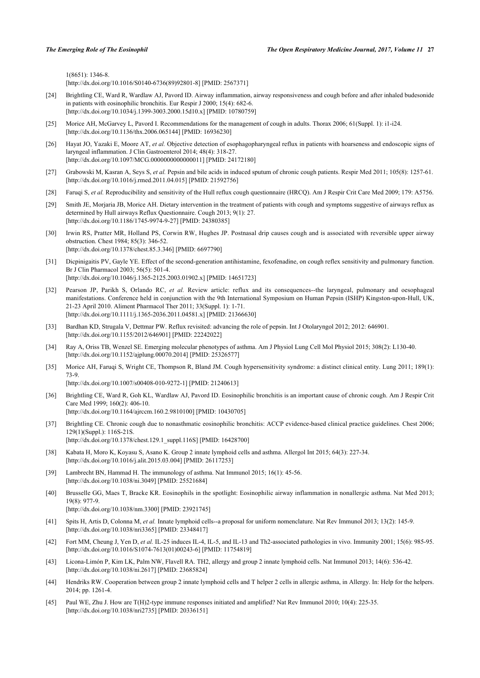1(8651): 1346-8.

[\[http://dx.doi.org/10.1016/S0140-6736\(89\)92801-8\]](http://dx.doi.org/10.1016/S0140-6736(89)92801-8) [PMID: [2567371](http://www.ncbi.nlm.nih.gov/pubmed/2567371)]

- <span id="page-10-0"></span>[24] Brightling CE, Ward R, Wardlaw AJ, Pavord ID. Airway inflammation, airway responsiveness and cough before and after inhaled budesonide in patients with eosinophilic bronchitis. Eur Respir J 2000; 15(4): 682-6. [\[http://dx.doi.org/10.1034/j.1399-3003.2000.15d10.x\]](http://dx.doi.org/10.1034/j.1399-3003.2000.15d10.x) [PMID: [10780759](http://www.ncbi.nlm.nih.gov/pubmed/10780759)]
- <span id="page-10-1"></span>[25] Morice AH, McGarvey L, Pavord I. Recommendations for the management of cough in adults. Thorax 2006; 61(Suppl. 1): i1-i24. [\[http://dx.doi.org/10.1136/thx.2006.065144](http://dx.doi.org/10.1136/thx.2006.065144)] [PMID: [16936230\]](http://www.ncbi.nlm.nih.gov/pubmed/16936230)
- <span id="page-10-2"></span>[26] Hayat JO, Yazaki E, Moore AT, et al. Objective detection of esophagopharyngeal reflux in patients with hoarseness and endoscopic signs of laryngeal inflammation. J Clin Gastroenterol 2014; 48(4): 318-27. [\[http://dx.doi.org/10.1097/MCG.0000000000000011](http://dx.doi.org/10.1097/MCG.0000000000000011)] [PMID: [24172180\]](http://www.ncbi.nlm.nih.gov/pubmed/24172180)
- <span id="page-10-3"></span>[27] Grabowski M, Kasran A, Seys S, et al. Pepsin and bile acids in induced sputum of chronic cough patients. Respir Med 2011; 105(8): 1257-61. [\[http://dx.doi.org/10.1016/j.rmed.2011.04.015](http://dx.doi.org/10.1016/j.rmed.2011.04.015)] [PMID: [21592756](http://www.ncbi.nlm.nih.gov/pubmed/21592756)]
- <span id="page-10-4"></span>[28] Faruqi S, *et al.* Reproducibility and sensitivity of the Hull reflux cough questionnaire (HRCQ). Am J Respir Crit Care Med 2009; 179: A5756.
- <span id="page-10-5"></span>[29] Smith JE, Morjaria JB, Morice AH. Dietary intervention in the treatment of patients with cough and symptoms suggestive of airways reflux as determined by Hull airways Reflux Questionnaire. Cough 2013; 9(1): 27. [\[http://dx.doi.org/10.1186/1745-9974-9-27\]](http://dx.doi.org/10.1186/1745-9974-9-27) [PMID: [24380385](http://www.ncbi.nlm.nih.gov/pubmed/24380385)]
- <span id="page-10-6"></span>[30] Irwin RS, Pratter MR, Holland PS, Corwin RW, Hughes JP. Postnasal drip causes cough and is associated with reversible upper airway obstruction. Chest 1984; 85(3): 346-52. [\[http://dx.doi.org/10.1378/chest.85.3.346](http://dx.doi.org/10.1378/chest.85.3.346)] [PMID: [6697790\]](http://www.ncbi.nlm.nih.gov/pubmed/6697790)
- <span id="page-10-7"></span>[31] Dicpinigaitis PV, Gayle YE. Effect of the second-generation antihistamine, fexofenadine, on cough reflex sensitivity and pulmonary function. Br J Clin Pharmacol 2003; 56(5): 501-4. [\[http://dx.doi.org/10.1046/j.1365-2125.2003.01902.x\]](http://dx.doi.org/10.1046/j.1365-2125.2003.01902.x) [PMID: [14651723](http://www.ncbi.nlm.nih.gov/pubmed/14651723)]
- <span id="page-10-8"></span>[32] Pearson JP, Parikh S, Orlando RC, *et al.* Review article: reflux and its consequences--the laryngeal, pulmonary and oesophageal manifestations. Conference held in conjunction with the 9th International Symposium on Human Pepsin (ISHP) Kingston-upon-Hull, UK, 21-23 April 2010. Aliment Pharmacol Ther 2011; 33(Suppl. 1): 1-71. [\[http://dx.doi.org/10.1111/j.1365-2036.2011.04581.x\]](http://dx.doi.org/10.1111/j.1365-2036.2011.04581.x) [PMID: [21366630](http://www.ncbi.nlm.nih.gov/pubmed/21366630)]
- <span id="page-10-9"></span>[33] Bardhan KD, Strugala V, Dettmar PW. Reflux revisited: advancing the role of pepsin. Int J Otolaryngol 2012; 2012: 646901. [\[http://dx.doi.org/10.1155/2012/646901](http://dx.doi.org/10.1155/2012/646901)] [PMID: [22242022\]](http://www.ncbi.nlm.nih.gov/pubmed/22242022)
- <span id="page-10-10"></span>[34] Ray A, Oriss TB, Wenzel SE. Emerging molecular phenotypes of asthma. Am J Physiol Lung Cell Mol Physiol 2015; 308(2): L130-40. [\[http://dx.doi.org/10.1152/ajplung.00070.2014\]](http://dx.doi.org/10.1152/ajplung.00070.2014) [PMID: [25326577](http://www.ncbi.nlm.nih.gov/pubmed/25326577)]
- <span id="page-10-11"></span>[35] Morice AH, Faruqi S, Wright CE, Thompson R, Bland JM. Cough hypersensitivity syndrome: a distinct clinical entity. Lung 2011; 189(1): 73-9.

[\[http://dx.doi.org/10.1007/s00408-010-9272-1\]](http://dx.doi.org/10.1007/s00408-010-9272-1) [PMID: [21240613](http://www.ncbi.nlm.nih.gov/pubmed/21240613)]

- <span id="page-10-12"></span>[36] Brightling CE, Ward R, Goh KL, Wardlaw AJ, Pavord ID. Eosinophilic bronchitis is an important cause of chronic cough. Am J Respir Crit Care Med 1999; 160(2): 406-10. [\[http://dx.doi.org/10.1164/ajrccm.160.2.9810100\]](http://dx.doi.org/10.1164/ajrccm.160.2.9810100) [PMID: [10430705](http://www.ncbi.nlm.nih.gov/pubmed/10430705)]
- <span id="page-10-13"></span>[37] Brightling CE. Chronic cough due to nonasthmatic eosinophilic bronchitis: ACCP evidence-based clinical practice guidelines. Chest 2006; 129(1)(Suppl.): 116S-21S. [\[http://dx.doi.org/10.1378/chest.129.1\\_suppl.116S](http://dx.doi.org/10.1378/chest.129.1_suppl.116S)] [PMID: [16428700\]](http://www.ncbi.nlm.nih.gov/pubmed/16428700)
- <span id="page-10-14"></span>[38] Kabata H, Moro K, Koyasu S, Asano K. Group 2 innate lymphoid cells and asthma. Allergol Int 2015; 64(3): 227-34. [\[http://dx.doi.org/10.1016/j.alit.2015.03.004](http://dx.doi.org/10.1016/j.alit.2015.03.004)] [PMID: [26117253\]](http://www.ncbi.nlm.nih.gov/pubmed/26117253)
- <span id="page-10-19"></span>[39] Lambrecht BN, Hammad H. The immunology of asthma. Nat Immunol 2015; 16(1): 45-56. [\[http://dx.doi.org/10.1038/ni.3049](http://dx.doi.org/10.1038/ni.3049)] [PMID: [25521684\]](http://www.ncbi.nlm.nih.gov/pubmed/25521684)
- [40] Brusselle GG, Maes T, Bracke KR. Eosinophils in the spotlight: Eosinophilic airway inflammation in nonallergic asthma. Nat Med 2013; 19(8): 977-9.
	- [\[http://dx.doi.org/10.1038/nm.3300](http://dx.doi.org/10.1038/nm.3300)] [PMID: [23921745\]](http://www.ncbi.nlm.nih.gov/pubmed/23921745)
- [41] Spits H, Artis D, Colonna M, *et al.* Innate lymphoid cells--a proposal for uniform nomenclature. Nat Rev Immunol 2013; 13(2): 145-9. [\[http://dx.doi.org/10.1038/nri3365\]](http://dx.doi.org/10.1038/nri3365) [PMID: [23348417](http://www.ncbi.nlm.nih.gov/pubmed/23348417)]
- <span id="page-10-15"></span>[42] Fort MM, Cheung J, Yen D, *et al.* IL-25 induces IL-4, IL-5, and IL-13 and Th2-associated pathologies in vivo. Immunity 2001; 15(6): 985-95. [\[http://dx.doi.org/10.1016/S1074-7613\(01\)00243-6\]](http://dx.doi.org/10.1016/S1074-7613(01)00243-6) [PMID: [11754819](http://www.ncbi.nlm.nih.gov/pubmed/11754819)]
- <span id="page-10-16"></span>[43] Licona-Limón P, Kim LK, Palm NW, Flavell RA. TH2, allergy and group 2 innate lymphoid cells. Nat Immunol 2013; 14(6): 536-42. [\[http://dx.doi.org/10.1038/ni.2617](http://dx.doi.org/10.1038/ni.2617)] [PMID: [23685824\]](http://www.ncbi.nlm.nih.gov/pubmed/23685824)
- <span id="page-10-17"></span>[44] Hendriks RW. Cooperation between group 2 innate lymphoid cells and T helper 2 cells in allergic asthma, in Allergy. In: Help for the helpers.  $2014$ ; pp. 1261-4.
- <span id="page-10-18"></span>[45] Paul WE, Zhu J. How are T(H)2-type immune responses initiated and amplified? Nat Rev Immunol 2010; 10(4): 225-35. [\[http://dx.doi.org/10.1038/nri2735\]](http://dx.doi.org/10.1038/nri2735) [PMID: [20336151](http://www.ncbi.nlm.nih.gov/pubmed/20336151)]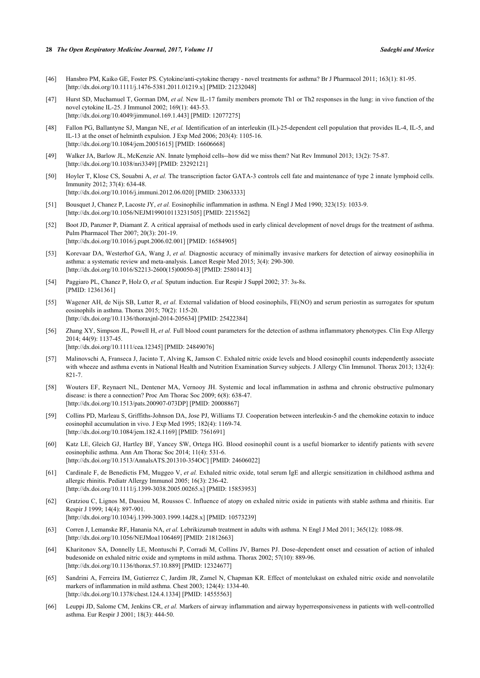#### **28** *The Open Respiratory Medicine Journal, 2017, Volume 11 Sadeghi and Morice*

- <span id="page-11-0"></span>[46] Hansbro PM, Kaiko GE, Foster PS. Cytokine/anti-cytokine therapy - novel treatments for asthma? Br J Pharmacol 2011; 163(1): 81-95. [\[http://dx.doi.org/10.1111/j.1476-5381.2011.01219.x\]](http://dx.doi.org/10.1111/j.1476-5381.2011.01219.x) [PMID: [21232048](http://www.ncbi.nlm.nih.gov/pubmed/21232048)]
- <span id="page-11-1"></span>[47] Hurst SD, Muchamuel T, Gorman DM, *et al.* New IL-17 family members promote Th1 or Th2 responses in the lung: in vivo function of the novel cytokine IL-25. J Immunol 2002; 169(1): 443-53. [\[http://dx.doi.org/10.4049/jimmunol.169.1.443\]](http://dx.doi.org/10.4049/jimmunol.169.1.443) [PMID: [12077275](http://www.ncbi.nlm.nih.gov/pubmed/12077275)]
- <span id="page-11-2"></span>[48] Fallon PG, Ballantyne SJ, Mangan NE, *et al.* Identification of an interleukin (IL)-25-dependent cell population that provides IL-4, IL-5, and IL-13 at the onset of helminth expulsion. J Exp Med 2006; 203(4): 1105-16. [\[http://dx.doi.org/10.1084/jem.20051615\]](http://dx.doi.org/10.1084/jem.20051615) [PMID: [16606668](http://www.ncbi.nlm.nih.gov/pubmed/16606668)]
- <span id="page-11-3"></span>[49] Walker JA, Barlow JL, McKenzie AN. Innate lymphoid cells--how did we miss them? Nat Rev Immunol 2013; 13(2): 75-87. [\[http://dx.doi.org/10.1038/nri3349\]](http://dx.doi.org/10.1038/nri3349) [PMID: [23292121](http://www.ncbi.nlm.nih.gov/pubmed/23292121)]
- <span id="page-11-4"></span>[50] Hoyler T, Klose CS, Souabni A, *et al.* The transcription factor GATA-3 controls cell fate and maintenance of type 2 innate lymphoid cells. Immunity 2012; 37(4): 634-48. [\[http://dx.doi.org/10.1016/j.immuni.2012.06.020\]](http://dx.doi.org/10.1016/j.immuni.2012.06.020) [PMID: [23063333](http://www.ncbi.nlm.nih.gov/pubmed/23063333)]
- <span id="page-11-5"></span>[51] Bousquet J, Chanez P, Lacoste JY, *et al.* Eosinophilic inflammation in asthma. N Engl J Med 1990; 323(15): 1033-9. [\[http://dx.doi.org/10.1056/NEJM199010113231505\]](http://dx.doi.org/10.1056/NEJM199010113231505) [PMID: [2215562](http://www.ncbi.nlm.nih.gov/pubmed/2215562)]
- <span id="page-11-6"></span>[52] Boot JD, Panzner P, Diamant Z. A critical appraisal of methods used in early clinical development of novel drugs for the treatment of asthma. Pulm Pharmacol Ther 2007; 20(3): 201-19. [\[http://dx.doi.org/10.1016/j.pupt.2006.02.001](http://dx.doi.org/10.1016/j.pupt.2006.02.001)] [PMID: [16584905\]](http://www.ncbi.nlm.nih.gov/pubmed/16584905)
- <span id="page-11-7"></span>[53] Korevaar DA, Westerhof GA, Wang J, *et al.* Diagnostic accuracy of minimally invasive markers for detection of airway eosinophilia in asthma: a systematic review and meta-analysis. Lancet Respir Med 2015; 3(4): 290-300. [\[http://dx.doi.org/10.1016/S2213-2600\(15\)00050-8\]](http://dx.doi.org/10.1016/S2213-2600(15)00050-8) [PMID: [25801413](http://www.ncbi.nlm.nih.gov/pubmed/25801413)]
- <span id="page-11-8"></span>[54] Paggiaro PL, Chanez P, Holz O, *et al.* Sputum induction. Eur Respir J Suppl 2002; 37: 3s-8s. [PMID: [12361361\]](http://www.ncbi.nlm.nih.gov/pubmed/12361361)
- <span id="page-11-9"></span>[55] Wagener AH, de Nijs SB, Lutter R, *et al.* External validation of blood eosinophils, FE(NO) and serum periostin as surrogates for sputum eosinophils in asthma. Thorax 2015; 70(2): 115-20. [\[http://dx.doi.org/10.1136/thoraxjnl-2014-205634](http://dx.doi.org/10.1136/thoraxjnl-2014-205634)] [PMID: [25422384\]](http://www.ncbi.nlm.nih.gov/pubmed/25422384)
- <span id="page-11-10"></span>[56] Zhang XY, Simpson JL, Powell H, *et al.* Full blood count parameters for the detection of asthma inflammatory phenotypes. Clin Exp Allergy 2014; 44(9): 1137-45. [\[http://dx.doi.org/10.1111/cea.12345](http://dx.doi.org/10.1111/cea.12345)] [PMID: [24849076](http://www.ncbi.nlm.nih.gov/pubmed/24849076)]
- <span id="page-11-11"></span>[57] Malinovschi A, Franseca J, Jacinto T, Alving K, Jamson C. Exhaled nitric oxide levels and blood eosinophil counts independently associate with wheeze and asthma events in National Health and Nutrition Examination Survey subjects. J Allergy Clin Immunol. Thorax 2013; 132(4): 821-7.
- <span id="page-11-12"></span>[58] Wouters EF, Reynaert NL, Dentener MA, Vernooy JH. Systemic and local inflammation in asthma and chronic obstructive pulmonary disease: is there a connection? Proc Am Thorac Soc 2009; 6(8): 638-47. [\[http://dx.doi.org/10.1513/pats.200907-073DP\]](http://dx.doi.org/10.1513/pats.200907-073DP) [PMID: [20008867](http://www.ncbi.nlm.nih.gov/pubmed/20008867)]
- <span id="page-11-13"></span>[59] Collins PD, Marleau S, Griffiths-Johnson DA, Jose PJ, Williams TJ. Cooperation between interleukin-5 and the chemokine eotaxin to induce eosinophil accumulation in vivo. J Exp Med 1995; 182(4): 1169-74. [\[http://dx.doi.org/10.1084/jem.182.4.1169\]](http://dx.doi.org/10.1084/jem.182.4.1169) [PMID: [7561691](http://www.ncbi.nlm.nih.gov/pubmed/7561691)]
- <span id="page-11-14"></span>[60] Katz LE, Gleich GJ, Hartley BF, Yancey SW, Ortega HG. Blood eosinophil count is a useful biomarker to identify patients with severe eosinophilic asthma. Ann Am Thorac Soc 2014; 11(4): 531-6. [\[http://dx.doi.org/10.1513/AnnalsATS.201310-354OC](http://dx.doi.org/10.1513/AnnalsATS.201310-354OC)] [PMID: [24606022\]](http://www.ncbi.nlm.nih.gov/pubmed/24606022)
- <span id="page-11-15"></span>[61] Cardinale F, de Benedictis FM, Muggeo V, *et al.* Exhaled nitric oxide, total serum IgE and allergic sensitization in childhood asthma and allergic rhinitis. Pediatr Allergy Immunol 2005; 16(3): 236-42. [\[http://dx.doi.org/10.1111/j.1399-3038.2005.00265.x\]](http://dx.doi.org/10.1111/j.1399-3038.2005.00265.x) [PMID: [15853953](http://www.ncbi.nlm.nih.gov/pubmed/15853953)]
- <span id="page-11-16"></span>[62] Gratziou C, Lignos M, Dassiou M, Roussos C. Influence of atopy on exhaled nitric oxide in patients with stable asthma and rhinitis. Eur Respir J 1999; 14(4): 897-901. [\[http://dx.doi.org/10.1034/j.1399-3003.1999.14d28.x\]](http://dx.doi.org/10.1034/j.1399-3003.1999.14d28.x) [PMID: [10573239](http://www.ncbi.nlm.nih.gov/pubmed/10573239)]
- <span id="page-11-17"></span>[63] Corren J, Lemanske RF, Hanania NA, *et al.* Lebrikizumab treatment in adults with asthma. N Engl J Med 2011; 365(12): 1088-98. [\[http://dx.doi.org/10.1056/NEJMoa1106469](http://dx.doi.org/10.1056/NEJMoa1106469)] [PMID: [21812663\]](http://www.ncbi.nlm.nih.gov/pubmed/21812663)
- <span id="page-11-18"></span>[64] Kharitonov SA, Donnelly LE, Montuschi P, Corradi M, Collins JV, Barnes PJ. Dose-dependent onset and cessation of action of inhaled budesonide on exhaled nitric oxide and symptoms in mild asthma. Thorax 2002; 57(10): 889-96. [\[http://dx.doi.org/10.1136/thorax.57.10.889](http://dx.doi.org/10.1136/thorax.57.10.889)] [PMID: [12324677\]](http://www.ncbi.nlm.nih.gov/pubmed/12324677)
- <span id="page-11-19"></span>[65] Sandrini A, Ferreira IM, Gutierrez C, Jardim JR, Zamel N, Chapman KR. Effect of montelukast on exhaled nitric oxide and nonvolatile markers of inflammation in mild asthma. Chest 2003; 124(4): 1334-40. [\[http://dx.doi.org/10.1378/chest.124.4.1334](http://dx.doi.org/10.1378/chest.124.4.1334)] [PMID: [14555563\]](http://www.ncbi.nlm.nih.gov/pubmed/14555563)
- <span id="page-11-20"></span>[66] Leuppi JD, Salome CM, Jenkins CR, *et al.* Markers of airway inflammation and airway hyperresponsiveness in patients with well-controlled asthma. Eur Respir J 2001; 18(3): 444-50.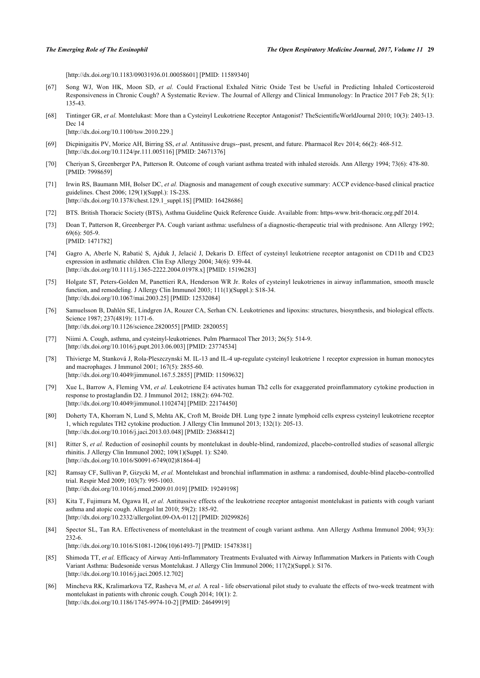[\[http://dx.doi.org/10.1183/09031936.01.00058601\]](http://dx.doi.org/10.1183/09031936.01.00058601) [PMID: [11589340](http://www.ncbi.nlm.nih.gov/pubmed/11589340)]

- <span id="page-12-0"></span>[67] Song WJ, Won HK, Moon SD, *et al.* Could Fractional Exhaled Nitric Oxide Test be Useful in Predicting Inhaled Corticosteroid Responsiveness in Chronic Cough? A Systematic Review. The Journal of Allergy and Clinical Immunology: In Practice 2017 Feb 28; 5(1): 135-43.
- <span id="page-12-1"></span>[68] Tintinger GR, *et al.* Montelukast: More than a Cysteinyl Leukotriene Receptor Antagonist? TheScientificWorldJournal 2010; 10(3): 2403-13. Dec 14

[\[http://dx.doi.org/10.1100/tsw.2010.229.\]](http://dx.doi.org/10.1100/tsw.2010.229.)

- <span id="page-12-2"></span>[69] Dicpinigaitis PV, Morice AH, Birring SS, *et al.* Antitussive drugs--past, present, and future. Pharmacol Rev 2014; 66(2): 468-512. [\[http://dx.doi.org/10.1124/pr.111.005116](http://dx.doi.org/10.1124/pr.111.005116)] [PMID: [24671376](http://www.ncbi.nlm.nih.gov/pubmed/24671376)]
- <span id="page-12-3"></span>[70] Cheriyan S, Greenberger PA, Patterson R. Outcome of cough variant asthma treated with inhaled steroids. Ann Allergy 1994; 73(6): 478-80. [PMID: [7998659\]](http://www.ncbi.nlm.nih.gov/pubmed/7998659)
- <span id="page-12-4"></span>[71] Irwin RS, Baumann MH, Bolser DC, *et al.* Diagnosis and management of cough executive summary: ACCP evidence-based clinical practice guidelines. Chest 2006; 129(1)(Suppl.): 1S-23S. [\[http://dx.doi.org/10.1378/chest.129.1\\_suppl.1S](http://dx.doi.org/10.1378/chest.129.1_suppl.1S)] [PMID: [16428686\]](http://www.ncbi.nlm.nih.gov/pubmed/16428686)
- <span id="page-12-5"></span>[72] BTS. British Thoracic Society (BTS), Asthma Guideline Quick Reference Guide. Available from: [https-www.brit-thoracic.org.pdf](http://192.168.111.2/oa/https-www.brit-thoracic.org.pdf) 2014.
- <span id="page-12-6"></span>[73] Doan T, Patterson R, Greenberger PA. Cough variant asthma: usefulness of a diagnostic-therapeutic trial with prednisone. Ann Allergy 1992; 69(6): 505-9. [PMID: [1471782\]](http://www.ncbi.nlm.nih.gov/pubmed/1471782)
- <span id="page-12-7"></span>[74] Gagro A, Aberle N, Rabatić S, Ajduk J, Jelacić J, Dekaris D. Effect of cysteinyl leukotriene receptor antagonist on CD11b and CD23 expression in asthmatic children. Clin Exp Allergy 2004; 34(6): 939-44. [\[http://dx.doi.org/10.1111/j.1365-2222.2004.01978.x\]](http://dx.doi.org/10.1111/j.1365-2222.2004.01978.x) [PMID: [15196283](http://www.ncbi.nlm.nih.gov/pubmed/15196283)]
- <span id="page-12-8"></span>[75] Holgate ST, Peters-Golden M, Panettieri RA, Henderson WR Jr. Roles of cysteinyl leukotrienes in airway inflammation, smooth muscle function, and remodeling. J Allergy Clin Immunol 2003; 111(1)(Suppl.): S18-34. [\[http://dx.doi.org/10.1067/mai.2003.25\]](http://dx.doi.org/10.1067/mai.2003.25) [PMID: [12532084](http://www.ncbi.nlm.nih.gov/pubmed/12532084)]
- <span id="page-12-9"></span>[76] Samuelsson B, Dahlén SE, Lindgren JA, Rouzer CA, Serhan CN. Leukotrienes and lipoxins: structures, biosynthesis, and biological effects. Science 1987; 237(4819): 1171-6. [\[http://dx.doi.org/10.1126/science.2820055](http://dx.doi.org/10.1126/science.2820055)] [PMID: [2820055\]](http://www.ncbi.nlm.nih.gov/pubmed/2820055)
- <span id="page-12-10"></span>[77] Niimi A. Cough, asthma, and cysteinyl-leukotrienes. Pulm Pharmacol Ther 2013; 26(5): 514-9. [\[http://dx.doi.org/10.1016/j.pupt.2013.06.003](http://dx.doi.org/10.1016/j.pupt.2013.06.003)] [PMID: [23774534\]](http://www.ncbi.nlm.nih.gov/pubmed/23774534)
- <span id="page-12-11"></span>[78] Thivierge M, Stanková J, Rola-Pleszczynski M. IL-13 and IL-4 up-regulate cysteinyl leukotriene 1 receptor expression in human monocytes and macrophages. J Immunol 2001; 167(5): 2855-60. [\[http://dx.doi.org/10.4049/jimmunol.167.5.2855\]](http://dx.doi.org/10.4049/jimmunol.167.5.2855) [PMID: [11509632](http://www.ncbi.nlm.nih.gov/pubmed/11509632)]
- <span id="page-12-12"></span>[79] Xue L, Barrow A, Fleming VM, *et al.* Leukotriene E4 activates human Th2 cells for exaggerated proinflammatory cytokine production in response to prostaglandin D2. J Immunol 2012; 188(2): 694-702. [\[http://dx.doi.org/10.4049/jimmunol.1102474\]](http://dx.doi.org/10.4049/jimmunol.1102474) [PMID: [22174450](http://www.ncbi.nlm.nih.gov/pubmed/22174450)]
- <span id="page-12-13"></span>[80] Doherty TA, Khorram N, Lund S, Mehta AK, Croft M, Broide DH. Lung type 2 innate lymphoid cells express cysteinyl leukotriene receptor 1, which regulates TH2 cytokine production. J Allergy Clin Immunol 2013; 132(1): 205-13. [\[http://dx.doi.org/10.1016/j.jaci.2013.03.048\]](http://dx.doi.org/10.1016/j.jaci.2013.03.048) [PMID: [23688412](http://www.ncbi.nlm.nih.gov/pubmed/23688412)]
- <span id="page-12-14"></span>[81] Ritter S, et al. Reduction of eosinophil counts by montelukast in double-blind, randomized, placebo-controlled studies of seasonal allergic rhinitis. J Allergy Clin Immunol 2002; 109(1)(Suppl. 1): S240. [\[http://dx.doi.org/10.1016/S0091-6749\(02\)81864-4\]](http://dx.doi.org/10.1016/S0091-6749(02)81864-4)
- <span id="page-12-15"></span>[82] Ramsay CF, Sullivan P, Gizycki M, *et al.* Montelukast and bronchial inflammation in asthma: a randomised, double-blind placebo-controlled trial. Respir Med 2009; 103(7): 995-1003. [\[http://dx.doi.org/10.1016/j.rmed.2009.01.019](http://dx.doi.org/10.1016/j.rmed.2009.01.019)] [PMID: [19249198](http://www.ncbi.nlm.nih.gov/pubmed/19249198)]
- <span id="page-12-16"></span>[83] Kita T, Fujimura M, Ogawa H, *et al.* Antitussive effects of the leukotriene receptor antagonist montelukast in patients with cough variant asthma and atopic cough. Allergol Int 2010; 59(2): 185-92. [\[http://dx.doi.org/10.2332/allergolint.09-OA-0112\]](http://dx.doi.org/10.2332/allergolint.09-OA-0112) [PMID: [20299826](http://www.ncbi.nlm.nih.gov/pubmed/20299826)]
- <span id="page-12-17"></span>[84] Spector SL, Tan RA. Effectiveness of montelukast in the treatment of cough variant asthma. Ann Allergy Asthma Immunol 2004; 93(3): 232-6. [\[http://dx.doi.org/10.1016/S1081-1206\(10\)61493-7\]](http://dx.doi.org/10.1016/S1081-1206(10)61493-7) [PMID: [15478381](http://www.ncbi.nlm.nih.gov/pubmed/15478381)]
- <span id="page-12-18"></span>[85] Shimoda TT, *et al.* Efficacy of Airway Anti-Inflammatory Treatments Evaluated with Airway Inflammation Markers in Patients with Cough Variant Asthma: Budesonide versus Montelukast. J Allergy Clin Immunol 2006; 117(2)(Suppl.): S176. [\[http://dx.doi.org/10.1016/j.jaci.2005.12.702\]](http://dx.doi.org/10.1016/j.jaci.2005.12.702)
- <span id="page-12-19"></span>[86] Mincheva RK, Kralimarkova TZ, Rasheva M, *et al.* A real - life observational pilot study to evaluate the effects of two-week treatment with montelukast in patients with chronic cough. Cough 2014; 10(1): 2. [\[http://dx.doi.org/10.1186/1745-9974-10-2\]](http://dx.doi.org/10.1186/1745-9974-10-2) [PMID: [24649919](http://www.ncbi.nlm.nih.gov/pubmed/24649919)]